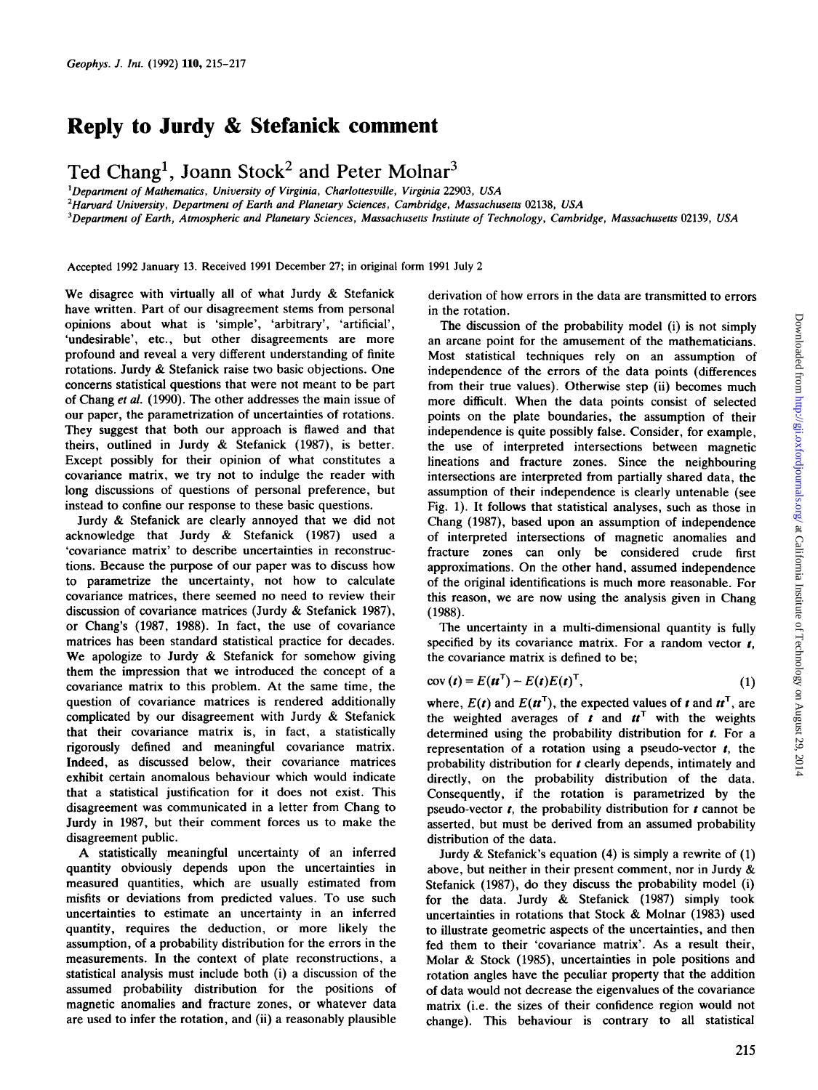## **Reply to Jurdy** & **Stefanick comment**

Ted Chang<sup>1</sup>, Joann Stock<sup>2</sup> and Peter Molnar<sup>3</sup>

*'Department* of *Mathematics, University* of *Virginia, Charlottesville, Virginia* 22903, *USA* 

*'Haruard University, Department of Earth and Planetary Sciences, Cambridge, Massachusetts* 02138, *USA* 

*'Department* of *Earth, Atmospheric and Planetary Sciences, Massachusetts Institute* of *Technology, Cambridge, Massachusetts* 02139, *USA* 

Accepted 1992 January 13. Received 1991 December 27; in original form 1991 July 2

We disagree with virtually all of what Jurdy & Stefanick have written. Part of our disagreement stems from personal opinions about what is 'simple', 'arbitrary', 'artificial', 'undesirable', etc., but other disagreements are more profound and reveal a very different understanding of finite rotations. Jurdy & Stefanick raise two basic objections. One concerns statistical questions that were not meant to be part of Chang *ef* al. (1990). The other addresses the main issue of our paper, the parametrization of uncertainties of rotations. They suggest that both our approach is flawed and that theirs, outlined in Jurdy & Stefanick (1987), is better. Except possibly for their opinion of what constitutes a covariance matrix, we try not to indulge the reader with long discussions of questions of personal preference, but instead to confine our response to these basic questions.

Jurdy & Stefanick are clearly annoyed that we did not acknowledge that Jurdy & Stefanick (1987) used a 'covariance matrix' to describe uncertainties in reconstructions. Because the purpose of our paper was to discuss how to parametrize the uncertainty, not how to calculate covariance matrices, there seemed no need to review their discussion of covariance matrices (Jurdy & Stefanick 1987), or Chang's (1987, 1988). In fact, the use of covariance matrices has been standard statistical practice for decades. We apologize to Jurdy & Stefanick for somehow giving them the impression that we introduced the concept of a covariance matrix to this problem. At the same time, the question of covariance matrices is rendered additionally complicated by our disagreement with Jurdy & Stefanick that their covariance matrix is, in fact, a statistically rigorously defined and meaningful covariance matrix. Indeed, as discussed below, their covariance matrices exhibit certain anomalous behaviour which would indicate that a statistical justification for it does not exist. This disagreement was communicated in a letter from Chang to Jurdy in 1987, but their comment forces us to make the disagreement public.

**A** statistically meaningful uncertainty of an inferred quantity obviously depends upon the uncertainties in measured quantities, which are usually estimated from misfits or deviations from predicted values. To use such uncertainties to estimate an uncertainty in an inferred quantity, requires the deduction, or more likely the assumption, of a probability distribution for the errors in the measurements. In the context of plate reconstructions, a statistical analysis must include both (i) a discussion of the assumed probability distribution for the positions of magnetic anomalies and fracture zones, or whatever data are used to infer the rotation, and (ii) a reasonably plausible

derivation of how errors in the data are transmitted to errors in the rotation.

The discussion of the probability model (i) is not simply an arcane point for the amusement of the mathematicians. Most statistical techniques rely on an assumption of independence of the errors of the data points (differences from their true values). Otherwise step (ii) becomes much more difficult. When the data points consist of selected points on the plate boundaries, the assumption of their independence is quite possibly false. Consider, for example, the use of interpreted intersections between magnetic lineations and fracture zones. Since the neighbouring intersections are interpreted from partially shared data, the assumption of their independence is clearly untenable (see Fig. 1). It follows that statistical analyses, such as those in Chang (1987), based upon an assumption of independence of interpreted intersections of magnetic anomalies and fracture zones can only be considered crude first approximations. On the other hand, assumed independence of the original identifications is much more reasonable. For this reason, we are now using the analysis given in Chang ( 1988).

The uncertainty in a multi-dimensional quantity is fully specified by its covariance matrix. For a random vector *t,*  the covariance matrix is defined to be;

$$
cov(t) = E(t\mathbf{r}^{\mathsf{T}}) - E(t)E(t)^{\mathsf{T}},
$$
\n(1)

where,  $E(t)$  and  $E(tT)$ , the expected values of t and  $tT$ , are the weighted averages of  $t$  and  $tt<sup>T</sup>$  with the weights determined using the probability distribution for  $t$ . For a representation of a rotation using a pseudo-vector  $t$ , the probability distribution for  $t$  clearly depends, intimately and directly, on the probability distribution of the data. Consequently, if the rotation is parametrized by the pseudo-vector  $t$ , the probability distribution for  $t$  cannot be asserted, but must be derived from an assumed probability distribution of the data.

Jurdy & Stefanick's equation **(4)** is simply a rewrite of (1) above, but neither in their present comment, nor in Jurdy & Stefanick (1987), do they discuss the probability model (i) for the data. Jurdy & Stefanick (1987) simply took uncertainties in rotations that Stock & Molnar (1983) used to illustrate geometric aspects of the uncertainties, and then fed them to their 'covariance matrix'. **As** a result their, Molar & Stock (1985), uncertainties in pole positions and rotation angles have the peculiar property that the addition of data would not decrease the eigenvalues of the covariance matrix (i.e. the sizes of their confidence region would not change). This behaviour is contrary to all statistical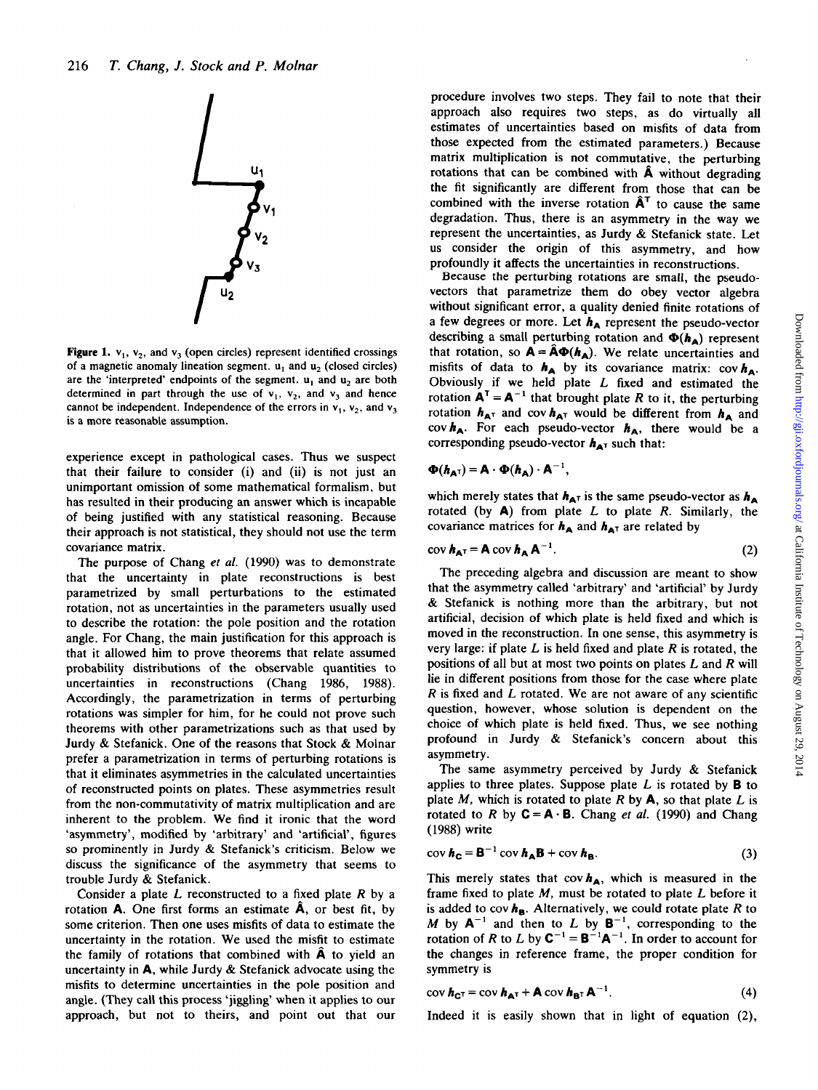

**Figure 1.**  $v_1$ ,  $v_2$ , and  $v_3$  (open circles) represent identified crossings of a magnetic anomaly lineation segment.  $u_1$  and  $u_2$  (closed circles) are the 'interpreted' endpoints of the segment.  $u_1$  and  $u_2$  are both determined in part through the use of  $v_1$ ,  $v_2$ , and  $v_3$  and hence cannot be independent. Independence of the errors in  $v_1$ ,  $v_2$ , and  $v_3$ is a more reasonable assumption.

experience except in pathological cases. Thus we suspect that their failure to consider (i) and (ii) is not just an unimportant omission of some mathematical formalism, but has resulted in their producing an answer which is incapable of being justified with any statistical reasoning. Because their approach is not statistical, they should not use the term covariance matrix.

The purpose of Chang et *al.* (1990) was to demonstrate that the uncertainty in plate reconstructions is best parametrized by small perturbations to the estimated rotation, not as uncertainties in the parameters usually used to describe the rotation: the pole position and the rotation angle. For Chang, the main justification for this approach is that it allowed him to prove theorems that relate assumed probability distributions of the observable quantities **to**  uncertainties in reconstructions (Chang 1986, 1988). Accordingly, the parametrization in terms of perturbing rotations was simpler for him, for he could not prove such theorems with other parametrizations such as that used by Jurdy & Stefanick. One of the reasons that Stock & Molnar prefer a parametrization in terms of perturbing rotations is that it eliminates asymmetries in the calculated uncertainties of reconstructed points on plates. These asymmetries result from the non-commutativity of matrix multiplication and are inherent to the problem. We find it ironic that the word 'asymmetry', modified by 'arbitrary' and 'artificial', figures so prominently in Jurdy & Stefanick's criticism. Below we discuss the significance of the asymmetry that seems to trouble Jurdy & Stefanick.

Consider a plate  $L$  reconstructed to a fixed plate  $R$  by a rotation A. One first forms an estimate **A,** or best fit, by some criterion. Then one uses misfits of data to estimate the uncertainty in the rotation. We used the misfit to estimate the family of rotations that combined with **A** to yield an uncertainty in A, while Jurdy & Stefanick advocate using the misfits to determine uncertainties in the pole position and angle. (They call this process 'jiggling' when it applies to our approach, but not to theirs, and point out that our procedure involves two steps. They fail to note that their approach also requires **two** steps, as do virtually all estimates of uncertainties based on misfits of data from those expected from the estimated parameters.) Because matrix multiplication is not commutative, the perturbing rotations that can be combined with **A** without degrading the fit significantly are different from those that can be combined with the inverse rotation  $\hat{A}^T$  to cause the same degradation. Thus, there is an asymmetry in the way we represent the uncertainties, as Jurdy & Stefanick state. Let us consider the origin of this asymmetry, and how profoundly it affects the uncertainties in reconstructions.

Because the perturbing rotations are small, the pseudovectors that parametrize them do obey vector algebra without significant error, a quality denied finite rotations of a few degrees or more. Let  $h_A$  represent the pseudo-vector describing a small perturbing rotation and  $\Phi(h_A)$  represent that rotation, so  $A = \overline{A} \Phi(h_A)$ . We relate uncertainties and misfits of data to  $h_A$  by its covariance matrix: cov $h_A$ . Obviously if we held plate  $L$  fixed and estimated the rotation  $A^T = A^{-1}$  that brought plate R to it, the perturbing rotation  $h_{A^T}$  and cov  $h_{A^T}$  would be different from  $h_{A}$  and cov  $h_{A}$ . For each pseudo-vector  $h_{A}$ , there would be a corresponding pseudo-vector  $h_{A}$  such that:

$$
\Phi(\mathbf{h}_{\mathbf{A}^{\mathsf{T}}}) = \mathbf{A} \cdot \Phi(\mathbf{h}_{\mathbf{A}}) \cdot \mathbf{A}^{-1},
$$

which merely states that  $h_{A}$ <sup>T</sup> is the same pseudo-vector as  $h_{A}$ rotated (by  $\mathsf{A}$ ) from plate L to plate R. Similarly, the covariance matrices for  $h_A$  and  $h_{A<sup>T</sup>}$  are related by

$$
\operatorname{cov} \boldsymbol{h}_{\mathbf{A}^{\mathrm{T}}} = \mathbf{A} \operatorname{cov} \boldsymbol{h}_{\mathbf{A}} \mathbf{A}^{-1}.
$$
 (2)

The preceding algebra and discussion are meant to show that the asymmetry called 'arbitrary' and 'artificial' by Jurdy & Stefanick is nothing more than the arbitrary, but not artificial, decision of which plate is held fixed and which is moved in the reconstruction. In one sense, this asymmetry is very large: if plate  $L$  is held fixed and plate  $R$  is rotated, the positions of all but at most two points on plates  $L$  and  $R$  will lie in different positions from those for the case where plate R is fixed and L rotated. We are not aware of any scientific question, however, whose solution is dependent on the choice of which plate is held fixed. Thus, we see nothing profound in Jurdy & Stefanick's concern about this asymmetry.

The same asymmetry perceived by Jurdy & Stefanick applies to three plates. Suppose plate L is rotated by **B** to plate  $M$ , which is rotated to plate  $R$  by  $A$ , so that plate  $L$  is rotated to R by  $C = A \cdot B$ . Chang *et al.* (1990) and Chang (1988) write

$$
\operatorname{cov} \boldsymbol{h}_{\mathbf{C}} = \mathbf{B}^{-1} \operatorname{cov} \boldsymbol{h}_{\mathbf{A}} \mathbf{B} + \operatorname{cov} \boldsymbol{h}_{\mathbf{B}}.
$$
 (3)

This merely states that cov $h_{A}$ , which is measured in the frame fixed to plate *M,* must be rotated to plate L before it is added to cov  $h_{\mathbf{B}}$ . Alternatively, we could rotate plate R to *M* by  $A^{-1}$  and then to L by  $B^{-1}$ , corresponding to the rotation of R to L by  $C^{-1} = B^{-1}A^{-1}$ . In order to account for the changes in reference frame, the proper condition for symmetry is

$$
\operatorname{cov} \boldsymbol{h}_{\mathbf{C}^{\mathsf{T}}} = \operatorname{cov} \boldsymbol{h}_{\mathbf{A}^{\mathsf{T}}} + \mathbf{A} \operatorname{cov} \boldsymbol{h}_{\mathbf{B}^{\mathsf{T}}} \mathbf{A}^{-1}.
$$
 (4)

Indeed it is easily shown that in light of equation **(2),**